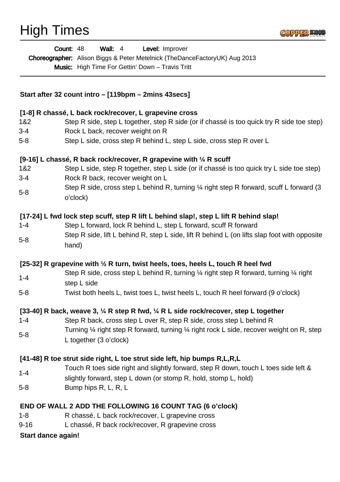## High Times



| Wall: $4$<br>Level: Improver<br>Count: 48<br>Choreographer: Alison Biggs & Peter Metelnick (TheDanceFactoryUK) Aug 2013<br>Music: High Time For Gettin' Down - Travis Tritt                                                 |                                                                                                                                          |
|-----------------------------------------------------------------------------------------------------------------------------------------------------------------------------------------------------------------------------|------------------------------------------------------------------------------------------------------------------------------------------|
| Start after 32 count intro – [119bpm – 2mins 43secs]                                                                                                                                                                        |                                                                                                                                          |
| [1-8] R chassé, L back rock/recover, L grapevine cross                                                                                                                                                                      |                                                                                                                                          |
| 1&2                                                                                                                                                                                                                         | Step R side, step L together, step R side (or if chassé is too quick try R side toe step)                                                |
| $3 - 4$                                                                                                                                                                                                                     | Rock L back, recover weight on R                                                                                                         |
| $5 - 8$                                                                                                                                                                                                                     | Step L side, cross step R behind L, step L side, cross step R over L                                                                     |
| [9-16] L chassé, R back rock/recover, R grapevine with 1/4 R scuff                                                                                                                                                          |                                                                                                                                          |
| 1&2                                                                                                                                                                                                                         | Step L side, step R together, step L side (or if chassé is too quick try L side toe step)                                                |
| $3 - 4$                                                                                                                                                                                                                     | Rock R back, recover weight on L                                                                                                         |
| $5 - 8$                                                                                                                                                                                                                     | Step R side, cross step L behind R, turning 1/4 right step R forward, scuff L forward (3<br>o'clock)                                     |
|                                                                                                                                                                                                                             | [17-24] L fwd lock step scuff, step R lift L behind slap!, step L lift R behind slap!                                                    |
| $1 - 4$                                                                                                                                                                                                                     | Step L forward, lock R behind L, step L forward, scuff R forward                                                                         |
| $5 - 8$                                                                                                                                                                                                                     | Step R side, lift L behind R, step L side, lift R behind L (on lifts slap foot with opposite<br>hand)                                    |
| [25-32] R grapevine with 1/2 R turn, twist heels, toes, heels L, touch R heel fwd                                                                                                                                           |                                                                                                                                          |
|                                                                                                                                                                                                                             | Step R side, cross step L behind R, turning $\frac{1}{4}$ right step R forward, turning $\frac{1}{4}$ right                              |
| $1 - 4$                                                                                                                                                                                                                     | step L side                                                                                                                              |
| $5 - 8$                                                                                                                                                                                                                     | Twist both heels L, twist toes L, twist heels L, touch R heel forward (9 o'clock)                                                        |
| [33-40] R back, weave 3, $\frac{1}{4}$ R step R fwd, $\frac{1}{4}$ R L side rock/recover, step L together                                                                                                                   |                                                                                                                                          |
| $1 - 4$                                                                                                                                                                                                                     | Step R back, cross step L over R, step R side, cross step L behind R                                                                     |
| $5 - 8$                                                                                                                                                                                                                     | Turning $\frac{1}{4}$ right step R forward, turning $\frac{1}{4}$ right rock L side, recover weight on R, step<br>L together (3 o'clock) |
| [41-48] R toe strut side right, L toe strut side left, hip bumps R, L, R, L                                                                                                                                                 |                                                                                                                                          |
| $1 - 4$                                                                                                                                                                                                                     | Touch R toes side right and slightly forward, step R down, touch L toes side left &                                                      |
| $5 - 8$                                                                                                                                                                                                                     | slightly forward, step L down (or stomp R, hold, stomp L, hold)<br>Bump hips R, L, R, L                                                  |
| <b>END OF WALL 2 ADD THE FOLLOWING 16 COUNT TAG (6 o'clock)</b><br>R chassé, L back rock/recover, L grapevine cross<br>$1 - 8$<br>L chassé, R back rock/recover, R grapevine cross<br>$9 - 16$<br><b>Start dance again!</b> |                                                                                                                                          |